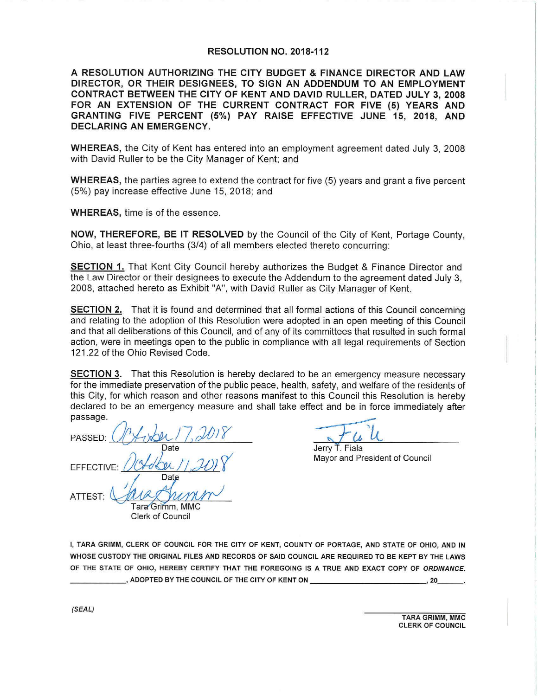## **RESOLUTION NO. 2018-112**

**A RESOLUTION AUTHORIZING THE CITY BUDGET** & **FINANCE DIRECTOR AND LAW DIRECTOR, OR THEIR DESIGNEES, TO SIGN AN ADDENDUM TO AN EMPLOYMENT CONTRACT BETWEEN THE CITY OF KENT AND DAVID RULLER, DATED JULY 3, 2008 FOR AN EXTENSION OF THE CURRENT CONTRACT FOR FIVE (5) YEARS AND GRANTING FIVE PERCENT (5%) PAY RAISE EFFECTIVE JUNE 15, 2018, AND DECLARING AN EMERGENCY.** 

**WHEREAS,** the City of Kent has entered into an employment agreement dated July 3, 2008 with David Ruller to be the City Manager of Kent; and

**WHEREAS,** the parties agree to extend the contract for five (5) years and grant a five percent (5%) pay increase effective June 15, 2018; and

**WHEREAS,** time is of the essence.

**NOW, THEREFORE, BE IT RESOLVED** by the Council of the City of Kent, Portage County, Ohio, at least three-fourths (3/4) of all members elected thereto concurring:

**SECTION 1.** That Kent City Council hereby authorizes the Budget & Finance Director and the Law Director or their designees to execute the Addendum to the agreement dated July 3, 2008, attached hereto as Exhibit "A", with David Ruller as City Manager of Kent.

**SECTION 2.** That it is found and determined that all formal actions of this Council concerning and relating to the adoption of this Resolution were adopted in an open meeting of this Council and that all deliberations of this Council, and of any of its committees that resulted in such formal action, were in meetings open to the public in compliance with all legal requirements of Section 121.22 of the Ohio Revised Code.

**SECTION 3.** That this Resolution is hereby declared to be an emergency measure necessary for the immediate preservation of the public peace, health, safety, and welfare of the residents of this City, for which reason and other reasons manifest to this Council this Resolution is hereby declared to be an emergency measure and shall take effect and be in force immediately after passage.

passage.<br>PASSED: *() [[[[[[[[[[[[[[[]]]] [[[[[[]]* Date Date<br>EFFECTIVE: DOLOON /1, JUL8 ATTEST: *1*   $\frac{1}{2}$ Date

Jerry T. Fiala Mayor and President of Council

Tara<sup>Grimm</sup>, MMC Clerk of Council

I, TARA GRIMM, CLERK OF COUNCIL FOR THE CITY OF KENT, COUNTY OF PORTAGE, AND STATE OF OHIO, AND IN WHOSE CUSTODY THE ORIGINAL FILES AND RECORDS OF SAID COUNCIL ARE REQUIRED TO BE KEPT BY THE LAWS OF THE STATE OF OHIO, HEREBY CERTIFY THAT THE FOREGOING IS A TRUE AND EXACT COPY OF ORDINANCE. ----~ ADOPTED BY THE COUNCIL OF THE CITY OF KENT ON---------~ 20 \_\_ .

> TARA GRIMM, MMC CLERK OF COUNCIL

(SEAL)